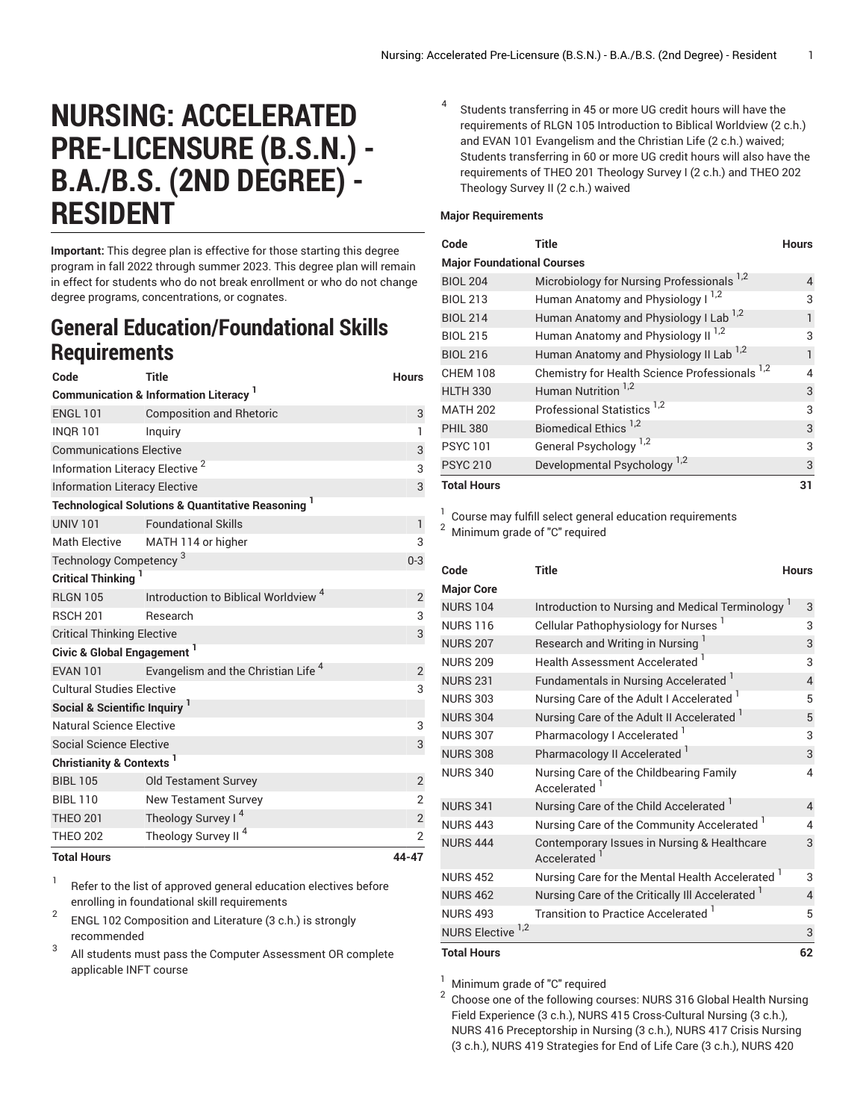## **NURSING: ACCELERATED PRE-LICENSURE (B.S.N.) - B.A./B.S. (2ND DEGREE) - RESIDENT**

**Important:** This degree plan is effective for those starting this degree program in fall 2022 through summer 2023. This degree plan will remain in effect for students who do not break enrollment or who do not change degree programs, concentrations, or cognates.

## **General Education/Foundational Skills Requirements**

| Code                                                         | Title                                                                    | <b>Hours</b>   |  |  |  |
|--------------------------------------------------------------|--------------------------------------------------------------------------|----------------|--|--|--|
| <b>Communication &amp; Information Literacy</b> <sup>1</sup> |                                                                          |                |  |  |  |
| <b>ENGL 101</b>                                              | <b>Composition and Rhetoric</b>                                          | 3              |  |  |  |
| <b>INOR 101</b>                                              | Inguiry                                                                  | $\mathbf{1}$   |  |  |  |
| <b>Communications Elective</b>                               | 3                                                                        |                |  |  |  |
| Information Literacy Elective <sup>2</sup>                   | 3                                                                        |                |  |  |  |
| <b>Information Literacy Elective</b>                         | 3                                                                        |                |  |  |  |
|                                                              | <b>Technological Solutions &amp; Quantitative Reasoning</b> <sup>1</sup> |                |  |  |  |
| <b>UNIV 101</b>                                              | <b>Foundational Skills</b>                                               | $\mathbf{1}$   |  |  |  |
| Math Elective                                                | MATH 114 or higher                                                       | 3              |  |  |  |
| Technology Competency <sup>3</sup>                           | $0 - 3$                                                                  |                |  |  |  |
| Critical Thinking                                            |                                                                          |                |  |  |  |
| <b>RLGN 105</b>                                              | Introduction to Biblical Worldview <sup>4</sup>                          | $\overline{2}$ |  |  |  |
| <b>RSCH 201</b>                                              | Research                                                                 | 3              |  |  |  |
| <b>Critical Thinking Elective</b>                            | 3                                                                        |                |  |  |  |
| Civic & Global Engagement <sup>1</sup>                       |                                                                          |                |  |  |  |
| <b>EVAN 101</b>                                              | Evangelism and the Christian Life <sup>4</sup>                           | $\overline{2}$ |  |  |  |
| <b>Cultural Studies Elective</b>                             |                                                                          |                |  |  |  |
| Social & Scientific Inquiry <sup>1</sup>                     |                                                                          |                |  |  |  |
| Natural Science Elective                                     |                                                                          | 3              |  |  |  |
| Social Science Elective                                      |                                                                          | 3              |  |  |  |
| Christianity & Contexts <sup>1</sup>                         |                                                                          |                |  |  |  |
| <b>BIBL 105</b>                                              | <b>Old Testament Survey</b>                                              | $\overline{2}$ |  |  |  |
| <b>BIBL 110</b>                                              | <b>New Testament Survey</b>                                              | $\overline{2}$ |  |  |  |
| <b>THEO 201</b>                                              | Theology Survey I <sup>4</sup>                                           | $\sqrt{2}$     |  |  |  |
| <b>THEO 202</b>                                              | Theology Survey II <sup>4</sup>                                          | $\overline{2}$ |  |  |  |
| <b>Total Hours</b>                                           |                                                                          | 44-47          |  |  |  |

1 Refer to the list of approved general [education](https://www.liberty.edu/gened/) electives before enrolling in foundational skill requirements

2 ENGL 102 Composition and Literature (3 c.h.) is strongly recommended 3

All students must pass the [Computer Assessment](https://www.liberty.edu/computerassessment/) OR complete applicable INFT course

4 Students transferring in 45 or more UG credit hours will have the requirements of RLGN 105 Introduction to Biblical Worldview (2 c.h.) and EVAN 101 Evangelism and the Christian Life (2 c.h.) waived; Students transferring in 60 or more UG credit hours will also have the requirements of THEO 201 Theology Survey I (2 c.h.) and THEO 202 Theology Survey II (2 c.h.) waived

## **Major Requirements**

| Code                              | Title                                              | <b>Hours</b> |  |  |
|-----------------------------------|----------------------------------------------------|--------------|--|--|
| <b>Major Foundational Courses</b> |                                                    |              |  |  |
| <b>BIOL 204</b>                   | Microbiology for Nursing Professionals 1,2         | 4            |  |  |
| <b>BIOL 213</b>                   | Human Anatomy and Physiology I <sup>1,2</sup>      | 3            |  |  |
| <b>BIOL 214</b>                   | Human Anatomy and Physiology I Lab <sup>1,2</sup>  |              |  |  |
| <b>BIOL 215</b>                   | Human Anatomy and Physiology II <sup>1,2</sup>     | 3            |  |  |
| <b>BIOL 216</b>                   | Human Anatomy and Physiology II Lab <sup>1,2</sup> |              |  |  |
| <b>CHEM 108</b>                   | Chemistry for Health Science Professionals 1,2     | 4            |  |  |
| <b>HLTH 330</b>                   | Human Nutrition <sup>1,2</sup>                     | 3            |  |  |
| <b>MATH 202</b>                   | Professional Statistics <sup>1,2</sup>             | 3            |  |  |
| <b>PHIL 380</b>                   | Biomedical Ethics <sup>1,2</sup>                   | 3            |  |  |
| <b>PSYC101</b>                    | General Psychology <sup>1,2</sup>                  | 3            |  |  |
| <b>PSYC 210</b>                   | Developmental Psychology <sup>1,2</sup>            | 3            |  |  |
| <b>Total Hours</b>                |                                                    | 31           |  |  |

<sup>1</sup> Course may fulfill select general education [requirements](https://www.liberty.edu/casas/general-education/gen-ed-electives/) <sup>2</sup> Minimum grade of "C" required

| Code                         | Title                                                        | <b>Hours</b> |
|------------------------------|--------------------------------------------------------------|--------------|
| <b>Major Core</b>            |                                                              |              |
| <b>NURS 104</b>              | Introduction to Nursing and Medical Terminology <sup>1</sup> | 3            |
| <b>NURS 116</b>              | Cellular Pathophysiology for Nurses <sup>1</sup>             | 3            |
| <b>NURS 207</b>              | Research and Writing in Nursing                              | 3            |
| <b>NURS 209</b>              | Health Assessment Accelerated 1                              | 3            |
| <b>NURS 231</b>              | Fundamentals in Nursing Accelerated                          | 4            |
| <b>NURS 303</b>              | Nursing Care of the Adult I Accelerated <sup>1</sup>         | 5            |
| <b>NURS 304</b>              | Nursing Care of the Adult II Accelerated                     | 5            |
| <b>NURS 307</b>              | Pharmacology I Accelerated <sup>1</sup>                      | 3            |
| <b>NURS 308</b>              | Pharmacology II Accelerated <sup>1</sup>                     | 3            |
| <b>NURS 340</b>              | Nursing Care of the Childbearing Family<br>Accelerated       | 4            |
| <b>NURS 341</b>              | Nursing Care of the Child Accelerated <sup>1</sup>           | 4            |
| <b>NURS 443</b>              | Nursing Care of the Community Accelerated <sup>1</sup>       | 4            |
| <b>NURS 444</b>              | Contemporary Issues in Nursing & Healthcare<br>Accelerated   | 3            |
| <b>NURS 452</b>              | Nursing Care for the Mental Health Accelerated 1             | 3            |
| <b>NURS 462</b>              | Nursing Care of the Critically III Accelerated               | 4            |
| <b>NURS 493</b>              | Transition to Practice Accelerated <sup>1</sup>              | 5            |
| NURS Elective <sup>1,2</sup> |                                                              | 3            |
| <b>Total Hours</b>           |                                                              | 62           |

<sup>1</sup> Minimum grade of "C" required

 $2$  Choose one of the following courses: NURS 316 Global Health Nursing Field Experience (3 c.h.), NURS 415 Cross-Cultural Nursing (3 c.h.), NURS 416 Preceptorship in Nursing (3 c.h.), NURS 417 Crisis Nursing (3 c.h.), NURS 419 Strategies for End of Life Care (3 c.h.), NURS 420